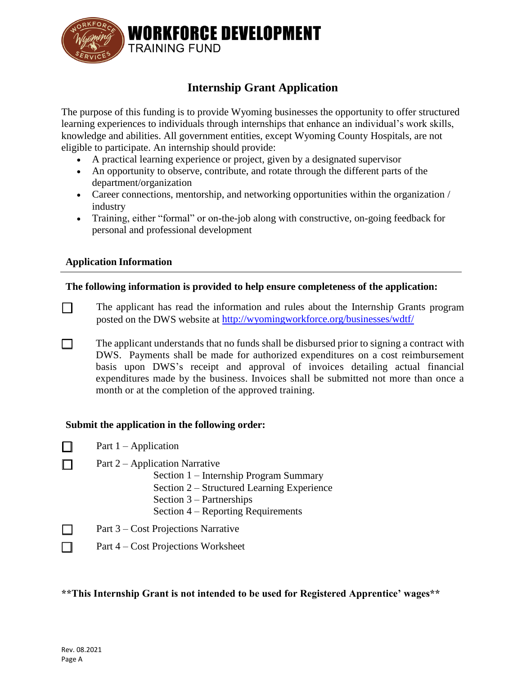

# **Internship Grant Application**

The purpose of this funding is to provide Wyoming businesses the opportunity to offer structured learning experiences to individuals through internships that enhance an individual's work skills, knowledge and abilities. All government entities, except Wyoming County Hospitals, are not eligible to participate. An internship should provide:

- A practical learning experience or project, given by a designated supervisor
- An opportunity to observe, contribute, and rotate through the different parts of the department/organization
- Career connections, mentorship, and networking opportunities within the organization / industry
- Training, either "formal" or on-the-job along with constructive, on-going feedback for personal and professional development

#### **Application Information**

### **The following information is provided to help ensure completeness of the application:**

- $\Box$ The applicant has read the information and rules about the Internship Grants program posted on the DWS website at<http://wyomingworkforce.org/businesses/wdtf/>
- The applicant understands that no funds shall be disbursed prior to signing a contract with П DWS. Payments shall be made for authorized expenditures on a cost reimbursement basis upon DWS's receipt and approval of invoices detailing actual financial expenditures made by the business. Invoices shall be submitted not more than once a month or at the completion of the approved training.

#### **Submit the application in the following order:**

- Part  $1 -$  Application П
	- Part 2 Application Narrative
		- Section 1 Internship Program Summary
		- Section 2 Structured Learning Experience
		- Section 3 Partnerships
		- Section 4 Reporting Requirements
	- Part 3 Cost Projections Narrative
	- Part 4 Cost Projections Worksheet

#### **\*\*This Internship Grant is not intended to be used for Registered Apprentice' wages\*\***

 $\Box$ 

 $\Box$  $\Box$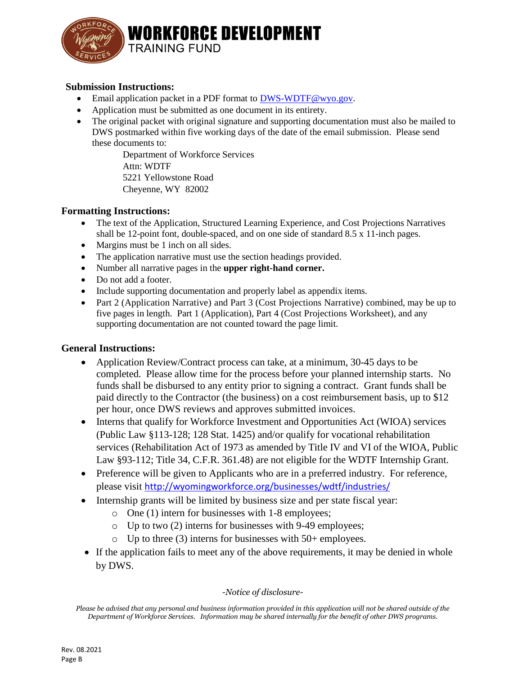

**WORKFORCE DEVELOPMENT TRAINING FUND** 

### **Submission Instructions:**

- Email application packet in a PDF format to **DWS-WDTF@wyo.gov.**
- Application must be submitted as one document in its entirety.
- The original packet with original signature and supporting documentation must also be mailed to DWS postmarked within five working days of the date of the email submission. Please send these documents to:

Department of Workforce Services Attn: WDTF 5221 Yellowstone Road Cheyenne, WY 82002

### **Formatting Instructions:**

- The text of the Application, Structured Learning Experience, and Cost Projections Narratives shall be 12-point font, double-spaced, and on one side of standard 8.5 x 11-inch pages.
- Margins must be 1 inch on all sides.
- The application narrative must use the section headings provided.
- Number all narrative pages in the **upper right-hand corner.**
- Do not add a footer.
- Include supporting documentation and properly label as appendix items.
- Part 2 (Application Narrative) and Part 3 (Cost Projections Narrative) combined, may be up to five pages in length. Part 1 (Application), Part 4 (Cost Projections Worksheet), and any supporting documentation are not counted toward the page limit.

### **General Instructions:**

- Application Review/Contract process can take, at a minimum, 30-45 days to be completed. Please allow time for the process before your planned internship starts. No funds shall be disbursed to any entity prior to signing a contract. Grant funds shall be paid directly to the Contractor (the business) on a cost reimbursement basis, up to \$12 per hour, once DWS reviews and approves submitted invoices.
- Interns that qualify for Workforce Investment and Opportunities Act (WIOA) services (Public Law §113-128; 128 Stat. 1425) and/or qualify for vocational rehabilitation services (Rehabilitation Act of 1973 as amended by Title IV and VI of the WIOA, Public Law §93-112; Title 34, C.F.R. 361.48) are not eligible for the WDTF Internship Grant.
- Preference will be given to Applicants who are in a preferred industry. For reference, please visit <http://wyomingworkforce.org/businesses/wdtf/industries/>
- Internship grants will be limited by business size and per state fiscal year:
	- o One (1) intern for businesses with 1-8 employees;
	- o Up to two (2) interns for businesses with 9-49 employees;
	- $\circ$  Up to three (3) interns for businesses with 50+ employees.
- If the application fails to meet any of the above requirements, it may be denied in whole by DWS.

#### *-Notice of disclosure-*

*Please be advised that any personal and business information provided in this application will not be shared outside of the Department of Workforce Services. Information may be shared internally for the benefit of other DWS programs.*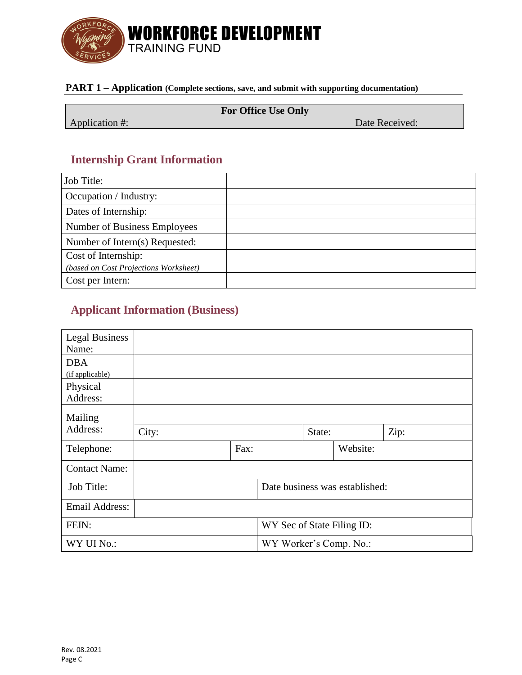

# **PART 1 – Application (Complete sections, save, and submit with supporting documentation)**

|                | <b>For Office Use Only</b> |                |
|----------------|----------------------------|----------------|
| Application #: |                            | Date Received: |

# **Internship Grant Information**

| Job Title:                            |  |
|---------------------------------------|--|
| Occupation / Industry:                |  |
| Dates of Internship:                  |  |
| Number of Business Employees          |  |
| Number of Intern(s) Requested:        |  |
| Cost of Internship:                   |  |
| (based on Cost Projections Worksheet) |  |
| Cost per Intern:                      |  |

# **Applicant Information (Business)**

| <b>Legal Business</b>                  |       |                        |                            |  |                                |  |
|----------------------------------------|-------|------------------------|----------------------------|--|--------------------------------|--|
| Name:<br><b>DBA</b><br>(if applicable) |       |                        |                            |  |                                |  |
| Physical<br>Address:                   |       |                        |                            |  |                                |  |
| Mailing                                |       |                        |                            |  |                                |  |
| Address:                               | City: |                        | State:                     |  | Zip:                           |  |
| Telephone:                             |       | Fax:                   |                            |  | Website:                       |  |
| <b>Contact Name:</b>                   |       |                        |                            |  |                                |  |
| Job Title:                             |       |                        |                            |  | Date business was established: |  |
| <b>Email Address:</b>                  |       |                        |                            |  |                                |  |
| FEIN:                                  |       |                        | WY Sec of State Filing ID: |  |                                |  |
| WY UI No.:                             |       | WY Worker's Comp. No.: |                            |  |                                |  |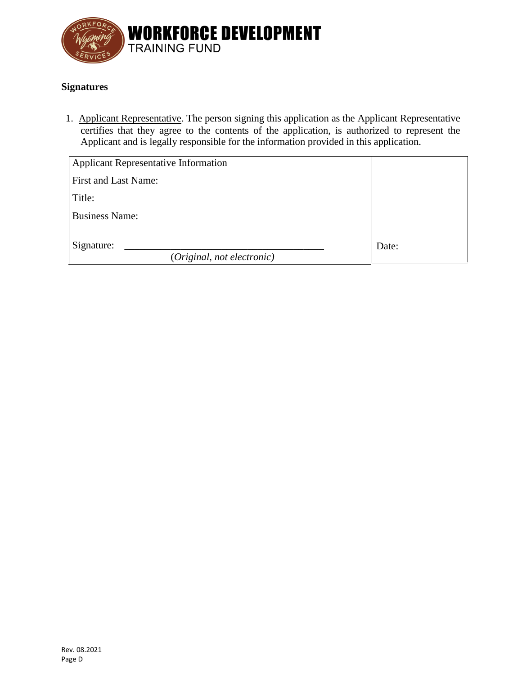

## **Signatures**

1. Applicant Representative. The person signing this application as the Applicant Representative certifies that they agree to the contents of the application, is authorized to represent the Applicant and is legally responsible for the information provided in this application.

| <b>Applicant Representative Information</b> |       |
|---------------------------------------------|-------|
| First and Last Name:                        |       |
| Title:                                      |       |
| <b>Business Name:</b>                       |       |
| Signature:<br>(Original, not electronic)    | Date: |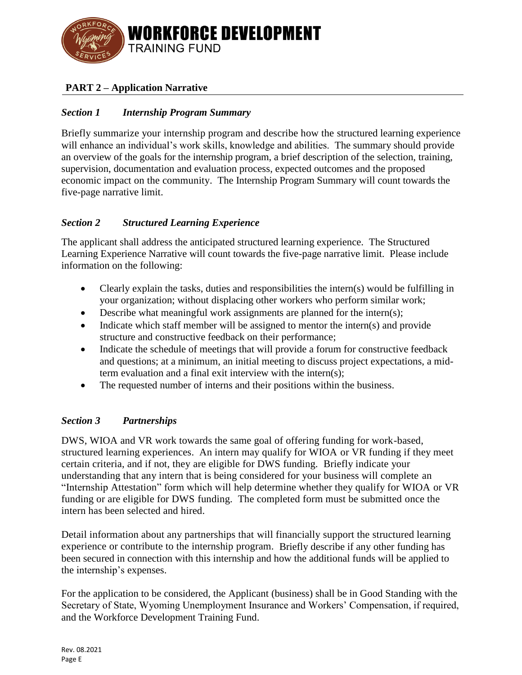

# **PART 2 – Application Narrative**

## *Section 1 Internship Program Summary*

Briefly summarize your internship program and describe how the structured learning experience will enhance an individual's work skills, knowledge and abilities. The summary should provide an overview of the goals for the internship program, a brief description of the selection, training, supervision, documentation and evaluation process, expected outcomes and the proposed economic impact on the community. The Internship Program Summary will count towards the five-page narrative limit.

### *Section 2 Structured Learning Experience*

The applicant shall address the anticipated structured learning experience. The Structured Learning Experience Narrative will count towards the five-page narrative limit. Please include information on the following:

- Clearly explain the tasks, duties and responsibilities the intern(s) would be fulfilling in your organization; without displacing other workers who perform similar work;
- Describe what meaningful work assignments are planned for the intern(s);
- Indicate which staff member will be assigned to mentor the intern(s) and provide structure and constructive feedback on their performance;
- Indicate the schedule of meetings that will provide a forum for constructive feedback and questions; at a minimum, an initial meeting to discuss project expectations, a midterm evaluation and a final exit interview with the intern(s);
- The requested number of interns and their positions within the business.

### *Section 3 Partnerships*

DWS, WIOA and VR work towards the same goal of offering funding for work-based, structured learning experiences. An intern may qualify for WIOA or VR funding if they meet certain criteria, and if not, they are eligible for DWS funding. Briefly indicate your understanding that any intern that is being considered for your business will complete an "Internship Attestation" form which will help determine whether they qualify for WIOA or VR funding or are eligible for DWS funding. The completed form must be submitted once the intern has been selected and hired.

Detail information about any partnerships that will financially support the structured learning experience or contribute to the internship program. Briefly describe if any other funding has been secured in connection with this internship and how the additional funds will be applied to the internship's expenses.

For the application to be considered, the Applicant (business) shall be in Good Standing with the Secretary of State, Wyoming Unemployment Insurance and Workers' Compensation, if required, and the Workforce Development Training Fund.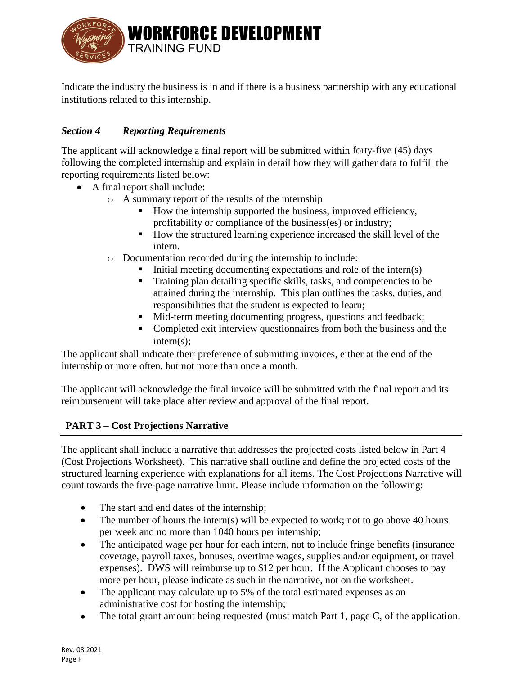

Indicate the industry the business is in and if there is a business partnership with any educational institutions related to this internship.

## *Section 4 Reporting Requirements*

The applicant will acknowledge a final report will be submitted within forty-five (45) days following the completed internship and explain in detail how they will gather data to fulfill the reporting requirements listed below:

- A final report shall include:
	- o A summary report of the results of the internship
		- How the internship supported the business, improved efficiency, profitability or compliance of the business(es) or industry;
		- How the structured learning experience increased the skill level of the intern.
	- o Documentation recorded during the internship to include:
		- Initial meeting documenting expectations and role of the intern(s)
		- Training plan detailing specific skills, tasks, and competencies to be attained during the internship. This plan outlines the tasks, duties, and responsibilities that the student is expected to learn;
		- Mid-term meeting documenting progress, questions and feedback;
		- Completed exit interview questionnaires from both the business and the intern(s);

The applicant shall indicate their preference of submitting invoices, either at the end of the internship or more often, but not more than once a month.

The applicant will acknowledge the final invoice will be submitted with the final report and its reimbursement will take place after review and approval of the final report.

### **PART 3 – Cost Projections Narrative**

The applicant shall include a narrative that addresses the projected costs listed below in Part 4 (Cost Projections Worksheet). This narrative shall outline and define the projected costs of the structured learning experience with explanations for all items. The Cost Projections Narrative will count towards the five-page narrative limit. Please include information on the following:

- The start and end dates of the internship;
- The number of hours the intern(s) will be expected to work; not to go above 40 hours per week and no more than 1040 hours per internship;
- The anticipated wage per hour for each intern, not to include fringe benefits (insurance coverage, payroll taxes, bonuses, overtime wages, supplies and/or equipment, or travel expenses). DWS will reimburse up to \$12 per hour. If the Applicant chooses to pay more per hour, please indicate as such in the narrative, not on the worksheet.
- The applicant may calculate up to 5% of the total estimated expenses as an administrative cost for hosting the internship;
- The total grant amount being requested (must match Part 1, page C, of the application.